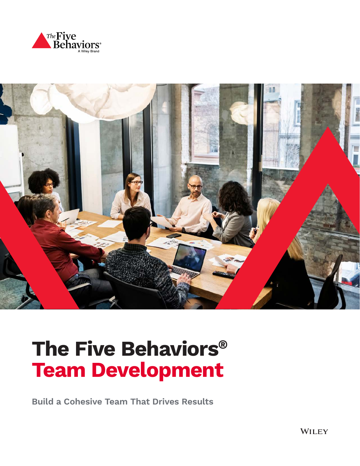



# **The Five Behaviors® Team Development**

**Build a Cohesive Team That Drives Results**

**WILEY**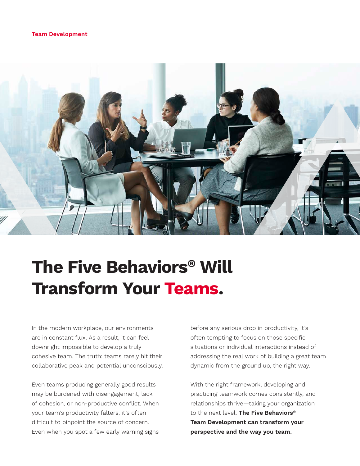#### **Team Development**



## **The Five Behaviors® Will Transform Your Teams.**

In the modern workplace, our environments are in constant flux. As a result, it can feel downright impossible to develop a truly cohesive team. The truth: teams rarely hit their collaborative peak and potential unconsciously.

Even teams producing generally good results may be burdened with disengagement, lack of cohesion, or non-productive conflict. When your team's productivity falters, it's often difficult to pinpoint the source of concern. Even when you spot a few early warning signs

before any serious drop in productivity, it's often tempting to focus on those specific situations or individual interactions instead of addressing the real work of building a great team dynamic from the ground up, the right way.

With the right framework, developing and practicing teamwork comes consistently, and relationships thrive—taking your organization to the next level. **The Five Behaviors® Team Development can transform your perspective and the way you team.**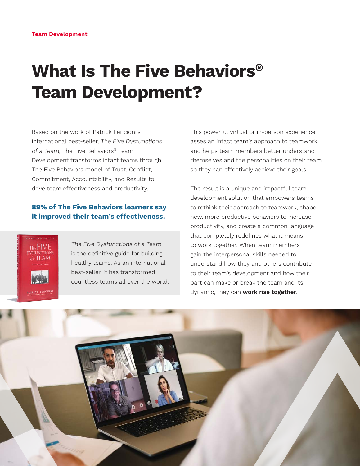## **What Is The Five Behaviors® Team Development?**

Based on the work of Patrick Lencioni's international best-seller, The Five Dysfunctions of a Team, The Five Behaviors® Team Development transforms intact teams through The Five Behaviors model of Trust, Conflict, Commitment, Accountability, and Results to drive team effectiveness and productivity.

#### **89% of The Five Behaviors learners say it improved their team's effectiveness.**



The Five Dysfunctions of a Team is the definitive guide for building healthy teams. As an international best-seller, it has transformed countless teams all over the world. This powerful virtual or in-person experience asses an intact team's approach to teamwork and helps team members better understand themselves and the personalities on their team so they can effectively achieve their goals.

The result is a unique and impactful team development solution that empowers teams to rethink their approach to teamwork, shape new, more productive behaviors to increase productivity, and create a common language that completely redefines what it means to work together. When team members gain the interpersonal skills needed to understand how they and others contribute to their team's development and how their part can make or break the team and its dynamic, they can **work rise together**.

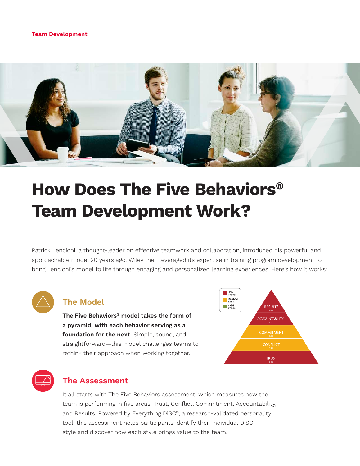#### **Team Development**



## **How Does The Five Behaviors® Team Development Work?**

Patrick Lencioni, a thought-leader on effective teamwork and collaboration, introduced his powerful and approachable model 20 years ago. Wiley then leveraged its expertise in training program development to bring Lencioni's model to life through engaging and personalized learning experiences. Here's how it works:



#### **The Model**

**The Five Behaviors® model takes the form of a pyramid, with each behavior serving as a foundation for the next.** Simple, sound, and straightforward—this model challenges teams to rethink their approach when working together.





#### **The Assessment**

It all starts with The Five Behaviors assessment, which measures how the team is performing in five areas: Trust, Conflict, Commitment, Accountability, and Results. Powered by Everything DiSC®, a research-validated personality tool, this assessment helps participants identify their individual DiSC style and discover how each style brings value to the team.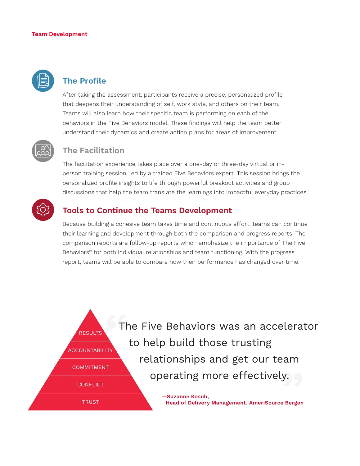#### **Team Development**



### **The Profile**

After taking the assessment, participants receive a precise, personalized profile that deepens their understanding of self, work style, and others on their team. Teams will also learn how their specific team is performing on each of the behaviors in the Five Behaviors model. These findings will help the team better understand their dynamics and create action plans for areas of improvement.



### **The Facilitation**

The facilitation experience takes place over a one-day or three-day virtual or inperson training session, led by a trained Five Behaviors expert. This session brings the personalized profile insights to life through powerful breakout activities and group discussions that help the team translate the learnings into impactful everyday practices.



### **Tools to Continue the Teams Development**

Because building a cohesive team takes time and continuous effort, teams can continue their learning and development through both the comparison and progress reports. The comparison reports are follow-up reports which emphasize the importance of The Five Behaviors® for both individual relationships and team functioning. With the progress report, teams will be able to compare how their performance has changed over time.

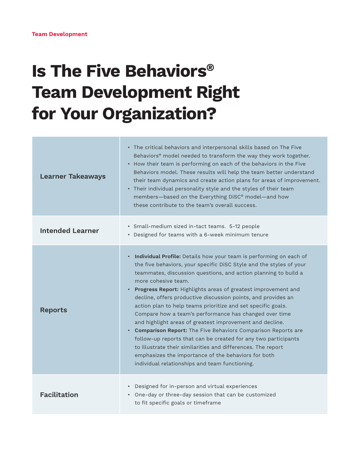# **Is The Five Behaviors® Team Development Right for Your Organization?**

| <b>Learner Takeaways</b> | • The critical behaviors and interpersonal skills based on The Five<br>Behaviors® model needed to transform the way they work together.<br>• How their team is performing on each of the behaviors in the Five<br>Behaviors model. These results will help the team better understand<br>their team dynamics and create action plans for areas of improvement.<br>• Their individual personality style and the styles of their team<br>members-based on the Everything DiSC® model-and how<br>these contribute to the team's overall success.                                                                                                                                                                                                                                                                                                                                           |
|--------------------------|-----------------------------------------------------------------------------------------------------------------------------------------------------------------------------------------------------------------------------------------------------------------------------------------------------------------------------------------------------------------------------------------------------------------------------------------------------------------------------------------------------------------------------------------------------------------------------------------------------------------------------------------------------------------------------------------------------------------------------------------------------------------------------------------------------------------------------------------------------------------------------------------|
| <b>Intended Learner</b>  | · Small-medium sized in-tact teams. 5-12 people<br>• Designed for teams with a 6-week minimum tenure                                                                                                                                                                                                                                                                                                                                                                                                                                                                                                                                                                                                                                                                                                                                                                                    |
| <b>Reports</b>           | Individual Profile: Details how your team is performing on each of<br>$\bullet$<br>the five behaviors, your specific DiSC Style and the styles of your<br>teammates, discussion questions, and action planning to build a<br>more cohesive team.<br>• Progress Report: Highlights areas of greatest improvement and<br>decline, offers productive discussion points, and provides an<br>action plan to help teams prioritize and set specific goals.<br>Compare how a team's performance has changed over time<br>and highlight areas of greatest improvement and decline.<br>• Comparison Report: The Five Behaviors Comparison Reports are<br>follow-up reports that can be created for any two participants<br>to illustrate their similarities and differences. The report<br>emphasizes the importance of the behaviors for both<br>individual relationships and team functioning. |
| <b>Facilitation</b>      | • Designed for in-person and virtual experiences<br>• One-day or three-day session that can be customized<br>to fit specific goals or timeframe                                                                                                                                                                                                                                                                                                                                                                                                                                                                                                                                                                                                                                                                                                                                         |